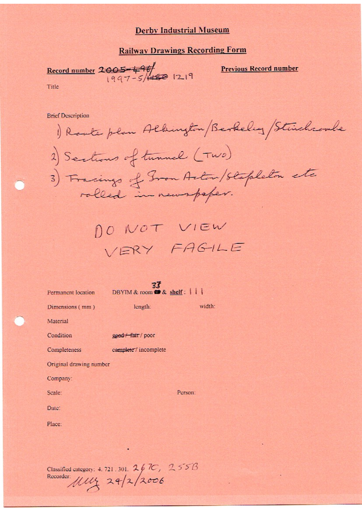#### **Railway Drawings Recording Form**

Record number  $2005 - 496$ <br>1997-5/1450 1219

**Previous Record number** 

Title

**Brief Description** 

Route plan Albington Berkeley Stinchcombe 2) Sections of tunnel (TWO) 3) Fracings of Gron Actor/Stapleton etc rolled in newspaper.

DO NOT VIEW VERY FAGILE

33 DBYIM & room **to** & shelf: | | Permanent location length: width: Dimensions (mm) Material Condition good / fair / poor Completeness complete / incomplete Original drawing number Company: Person: Scale: Date: Place:

Classified category: 4.721.301. 267C, 255B<br>Recorder: *MML* 24/2/2006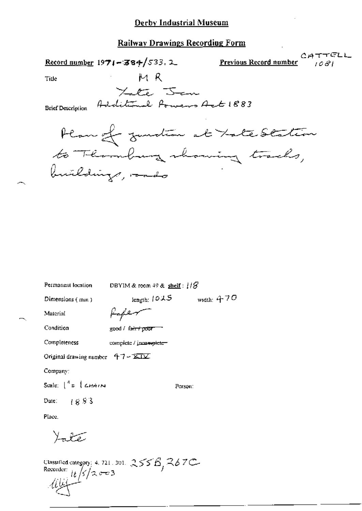| Record number $1971 - 384/533.2$                                                   | CATTEL<br>Previous Record number<br>1081 |
|------------------------------------------------------------------------------------|------------------------------------------|
| МR<br>Tide                                                                         |                                          |
| Late Jan<br>Additional Powers Act 1883<br><b>Brief Description</b>                 |                                          |
| Plan of zundta at Tate Station<br>to Thomburg showing tracks,<br>buildings, ando   |                                          |
|                                                                                    |                                          |
|                                                                                    |                                          |
|                                                                                    |                                          |
|                                                                                    |                                          |
|                                                                                    |                                          |
|                                                                                    |                                          |
|                                                                                    |                                          |
|                                                                                    |                                          |
| Permanent location<br>DBYIM & room $49$ & shelf: $118$                             |                                          |
| length: 1015<br>Dimensions (mm)                                                    | width: $470$                             |
| سمسفهمه<br>Material                                                                |                                          |
| Condition<br>good / fa <del>ir / poor =</del>                                      |                                          |
| Completeness<br>complete / jucamplete-                                             |                                          |
| Original drawing number $47 - 121$                                                 |                                          |
| Company:                                                                           |                                          |
| Scale: $\int_0^{\eta} z \, \int \mathcal{L} H A I N$<br>Person:                    |                                          |
| Date: $1883$                                                                       |                                          |
| Place.                                                                             |                                          |
| Yate                                                                               |                                          |
| Classified category: 4, 721, 301, $255B$ , $367C$<br>Recorder: $ t /2$ $\approx$ 3 |                                          |

يلألماكم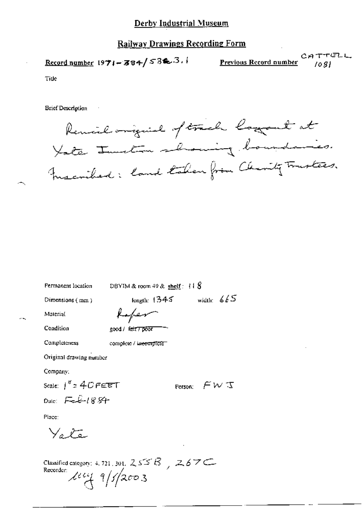# Railway Drawings Recording Form

CATTELL Record number  $1971 - 384 / 532$ . Previous Record number  $1081$ 

Tide

**Srief Description** 

Remil original of track lagont at Yate Junction showing boundaries. merided: land taken from Charity Trustees.

| Permanent location             | DBYIM & room $49$ & shelf: $118$              |
|--------------------------------|-----------------------------------------------|
| Dimensions $(mn)$              | width: $665$<br>length: $1345$                |
| Material                       | Kofer                                         |
| Condition                      | good / fair <del>7 poor</del>                 |
| Completeness                   | complete / in <del>complete -</del>           |
| Original drawing number        |                                               |
| Company:                       |                                               |
| Scale: $1'' = 40$ FEET         | Person: $\mathcal{F} \mathcal{W} \mathcal{T}$ |
| Dute: $F = \mathcal{L} - 1884$ |                                               |
| Place:                         |                                               |
| $\vee$ . Ko                    |                                               |
|                                | ٠                                             |

Classified category: 4, 721, 301,  $255B$ ,  $267C$ Recorder levy 9/5/2003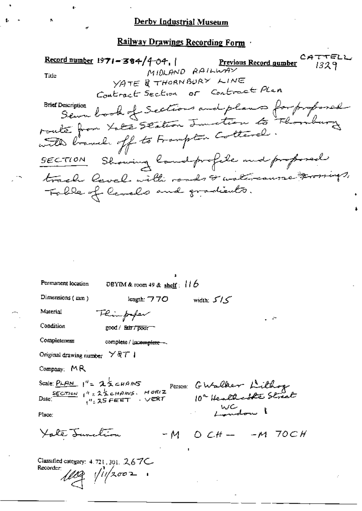CATTELL Record number  $1971 - 384/404$ . <u>Previous Record gumber</u> 1329 MIDLAND RAILWAY Title YATE & THORNBURY LINE Contract Section or Contract Plan Description book of Sections and plans for proposed **Brief Description** route from Late Station Junction to Floribury with branch off to Frampton Cottered. SECTION Showing landprofile and proposed track level with roads & watercourse tromings, Table of Cevels and gradients. Permanent location DBYIM & room 49 & shelf:  $116$ Dimensions (mm) length: 770 width:  $5/5$ Thimp<del>f</del>or Material Condition good / fair / poor Completeness complete / incomplete -Original drawing number  $\forall$  Q T | Company: MR Person GWalker Lithog Scale: PLAN  $1'' = 25$  cHANS Date:  $\frac{SCTime}{1} + \frac{4}{12} = 2\frac{1}{2}$  chang. HORIZ<br>Date:  $\frac{1}{12} = 25$  FEET. VERT WC<br>Landon Place: Yoke Junchion  $-M$  O  $CH$  -  $-M$  70CH Classified category:  $4.721$ ,  $301$ ,  $2.67C$ Recorder:

 $1109$   $11/2002$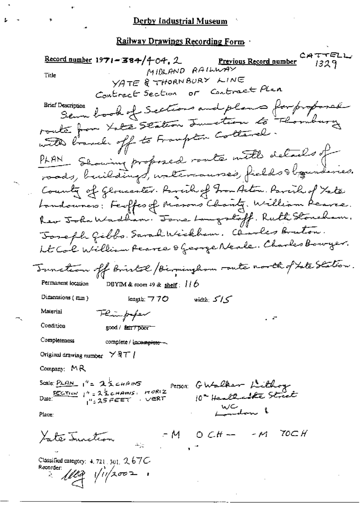CATTELL Record number 1971 - 384/4-04, 2 **Previous Record number**  $1329$ MIDLAND RAILWAY Title YATE & THORNBURY LINE or Contract Plan Contract Section semme book of Sections and plans for proposal **Brief Description** route from Late Station Junction to Flomburg with bound off to Frampton Cottanel. PLAN Showing proposed route with details of roads, buildings, untercauses, fields to boundaries. County of Gloucenter. Parcily of From Action. Parcily of Yate Landouners: Feoffes of Masons Chanty, William Reares. her John Wadham. Jone Langstoff. Ruth Stoneham. Joseph Gibbs. Saradiktickhem. Clarles Bruton. ht Co'l William Pearce & George Neale. Charles Bowyer. Tunction off briskol / Biominghom route north of Late Station. Permanent location DBYIM & room 49 & shelf:  $116$ Dimensions (mm) length:  $770$ کے *ا*ک : width Material Flinfofer Condition good / fair / poor Completeness complete / incomplete -Original drawing number  $\times$   $\frac{1}{2}$   $\frac{1}{1}$ Company:  $MR$ Scale:  $PLAN_1' = 25$  chans Person: GWalker Lithog SECTION  $t^n = 2 \leq c \text{transr}$   $HOR(Z)$ 10 Health able Street  $1''$ : 25 FEET  $\rightarrow$  VERT WC<br>London & Place:  $-M$  OCH  $-M$ 70C H Yate Innetion Classified category:  $4.721$ ,  $301$ ,  $2.67C$ Recorder:  $1/102$   $1/1/2002$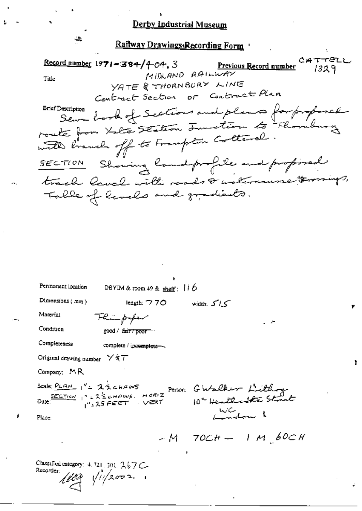CATTELL Record number  $1971 - 384/404$ , 3 Previous Record number 1329 MIDLAND RAILWAY Title YATE & THORNBURY LINE or Contract Plan Contract Section sem look of Sections and plans for proposal **Brief Description** route from Late Station Junction to Florida with branch off to Frampton Cottarel. Showing landprofile and profored  $SECTION$ track level with roads & watercourse terorings, Table of levels and gradients.

| Permanent location                                    | DBYIM & room 49 & shelf: $116$ |                                                                                                                                                   |  |
|-------------------------------------------------------|--------------------------------|---------------------------------------------------------------------------------------------------------------------------------------------------|--|
| Dimensions (mm)                                       | leagth: $770$                  | width: $5/5$                                                                                                                                      |  |
| Material                                              | Flumpfer                       |                                                                                                                                                   |  |
| Condition                                             | good / Exir/poor               |                                                                                                                                                   |  |
| Completeness                                          | complete / incomplete ~~       |                                                                                                                                                   |  |
| Original drawing number $\forall$ $\Diamond$ $\top$   |                                |                                                                                                                                                   |  |
| Company: MR                                           |                                |                                                                                                                                                   |  |
| Scale: $PLAM_1'' = 22EHMMS$                           |                                | Scale: $\frac{\rho_{LAM}}{\rho_{LAM}}$ , "= 25 cHAMS<br>Date: $\frac{sec_{\text{Time}}}{\rho_{LAM}}$ , "= 25 cHAMS. HORIZ Person: GWalker Littley |  |
| Place:                                                |                                |                                                                                                                                                   |  |
|                                                       |                                | $-M$ 70CH $-$ 1 M 60CH                                                                                                                            |  |
| Classified category: 4, 721, 301, 267 C-<br>Recorder: | $1109$ $11/2002$               |                                                                                                                                                   |  |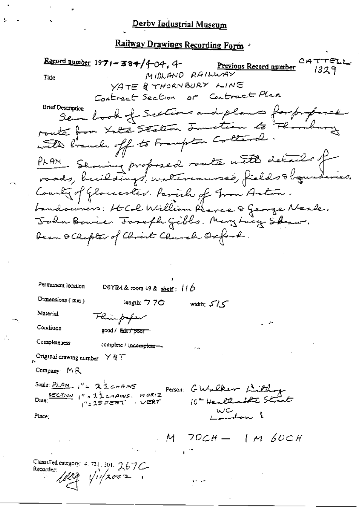Record namber 1971-384/4-04, 4  $CAT$ Previous Record number  $1329$ MIDLAND RAILWAY Tide YATE & THORNBURY LINE or Contract Plan Contract Section **Brief Description** Semme book of Sections and plans for proposed route from Late Station Junction to This with branch off to Frampton Cottaral PLAN Showing proposed route with details of Country of Gloucever. Favorh of Tron Action. Landouvers: HCL William Pearce & George Neale. John Bowie. Toseph Gibls. Mary Lucy Sheaw. Dean & Clopter of Clorent Church Oxford Permanent location DBYIM & room 49 & shelf:  $116$ Dimensions (mm) leagth: 770 width:  $5/5$ Material Flinpoper Condition good / Eain / poor Completeness complete / incomplete-Original drawing number  $\times$   $\forall$   $\forall$   $\top$ Company: MR Scale: PLAN 1'= 23 CHAMS Person GWalker Littling  $\frac{\text{SCCTion}}{1}$   $1^n$  = 23 chains. Hariz 10° Healthank Street 1": 25 FEET  $\sim$   $\vee$   $\mathbb{R}$   $\tau$ WC<br><del>endo</del>n l Place:  $M$  70CH  $-$  1 M 60CH Classified category: 4, 721, 301, 267C-Recorder:  $1/1/2002$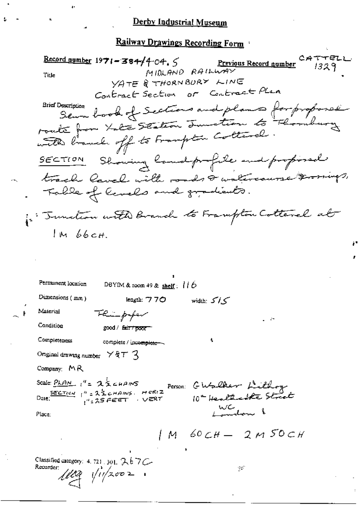TO4.5 Previous Record number<br>MIDLAND RAILWAY  $CATTEL$  $\frac{\text{Record number}}{1971 - 384/404.5}$  $1329$ Title YATE & THORNBURY LINE Contract Section or Contract Plan **Brief Description** serve book of Sections and plans for proposed roate from tate section Junction to Floribury with branch off to Frampton Cottarel. SECTION Showing landprofile and profised track laval with roads & watercourse &romings, Table of Cenels and gradients. in Tunction with Branch to Frampton Cotterel at  $1M66cH$ Permanent location DBYIM & room 49 & shelf:  $116$ Dimensions (mm) length: 770 width: 515 Material Thimpfor Condition good / fair / poor Completeness complete / incomplete ~~ Onginal drawing number  $\times$   $\forall$   $\forall$   $\top$   $\prec$ Company:  $MR$ Scale PLAN 1"= 25 CHAINS Person: GWalker Lithog Date:  $\frac{\text{SECT}(c_{\text{max}})}{1}$  |" =  $2\frac{1}{2}$  cHAINS. HCRIZ 10ª Healthcourte Street  $\mu_{\pm}$ 25 FEET  $\rightarrow$  VERT WC 10m 8 Place:  $/M$  60  $CH = 2$  M 50  $CH$ Classified category: 4, 721, 301,  $767C$ Recorder:  $\mathbb{R}^2$  $1102$   $11/2002$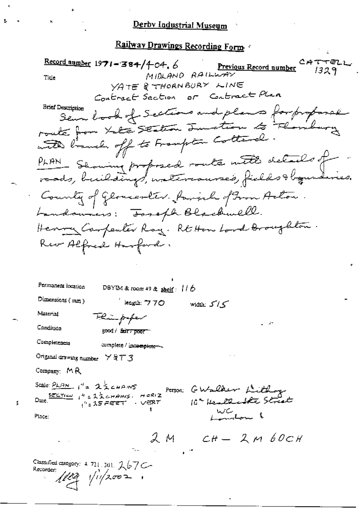Record number  $1971 - 384/404.6$ CATTELL Previous Record number  $1329$ MIDLAND RAILWAY Title YATE & THORNBURY LINE Contract Section or Contract Plan **Brief Description** Sem look of Sections and plans for proposal roake from take section Junction to thornh with limits off to Frampton Cottanal PLAN Showing proposed route with details of · County of Gloucester. family of Gron Actor Landonners: Toseph Blackwell. Henry Carpenter Ray. Rt Hom Lord Broughton. Rev Alfred Harford. Permanent location DBYIM & room 49 & shelf:  $116$ Dimensions (mm) leagth: フフ〇 width:  $5^{\prime}/5^{\prime}$ Material Thimpyfor Condition good / fair / poor Completeness complete / incomplete-Original drawing number Y & T 3 Company:  $M$ R Scale:  $PLAN$ ,  $I' = 2ZEMANS$ Person: GWalker Lithog Date  $\frac{\sec x_{\text{final}}}{x}$   $x^4 = 2.5$  change HORIZ 10ª Health street ್ಷಿ<sub>-</sub>15 ಕರ್ಷ - VERT WC<br>London l Place:  $2M$   $CH - 2M60CH$ Classified category: 4, 721, 301, 267C-Recorder:  $\ell\ell q$   $\sqrt{q}$   $\sqrt{q}$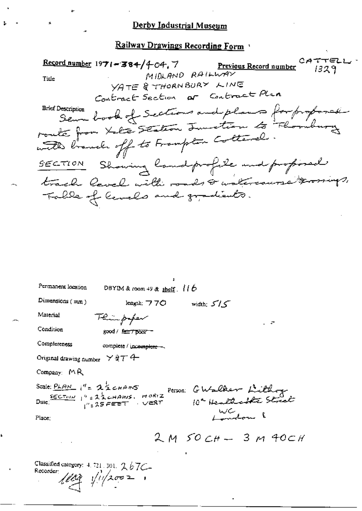Record number 1971-384/4-04.7 Previous Record number  $1329$ MIDLAND RAILWAY Title YATE & THORNBURY LINE Contract Section or Contract Plan Sem book of Sections and plans for proposed **Brief Description** route from Late Station Junction to Flormbus with branch off to Frampton Cottanel. Showing landprofile and profined  $SECTION$ track level with roads & watercourse trosings, Table of levels and gradients.

| Permanent location                                     | DBYIM & room 49 & shelf. $116$ |                                                                                                                                                                                                                                    |
|--------------------------------------------------------|--------------------------------|------------------------------------------------------------------------------------------------------------------------------------------------------------------------------------------------------------------------------------|
| Dimensions $(mn)$                                      | length: $770$                  | width: $5/5$                                                                                                                                                                                                                       |
| Material                                               | Flin paper                     |                                                                                                                                                                                                                                    |
| Condition                                              | good / fair7 poor -            |                                                                                                                                                                                                                                    |
| Completeness                                           | complete / incomplete -        |                                                                                                                                                                                                                                    |
| Original drawing number $\times$ Q T 4                 |                                |                                                                                                                                                                                                                                    |
| Company: $M \, R$                                      |                                |                                                                                                                                                                                                                                    |
|                                                        |                                | Scale: PLAN $i^{\prime} = 2\frac{1}{2}$ cHANS<br>Date: $\frac{sec\pi \omega}{i^{\prime\prime} = 2\frac{1}{2}$ cHANS. HORIZ<br>Date: $\frac{sec\pi \omega}{i^{\prime\prime} = 25 \text{ FEET}}$ . VERT 10 <sup>2</sup> Healthcore ? |
|                                                        |                                |                                                                                                                                                                                                                                    |
|                                                        |                                | $2M50CH - 3M40CH$                                                                                                                                                                                                                  |
| Classified category: 4, 721, 301, 2, 67C-<br>Recorder: | $1122$ $11/2002$               |                                                                                                                                                                                                                                    |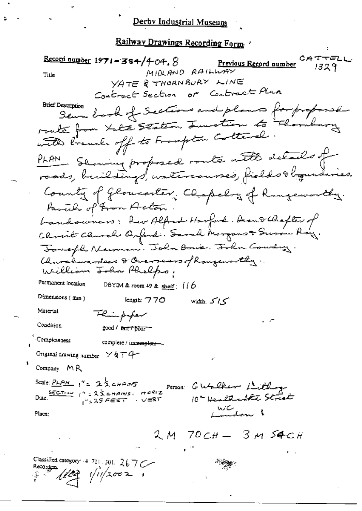# <u>Derby Industrial Museum</u>

CATTELL Record number  $1971 - 384/404.8$ Previous Record number 1329 MIDLAND RAILWAY Title YATE & THORNBURY LINE Contract Section or Contract Plan **Brief Description** Sem book of Sections and plans for proposed route from Late Station Junction to Florid with branch off to Frampton Cottanal. PLAN Seming proposed route with details of roads, buildings, untercourses, fields togunderies. County of Gloucester, Chapelry of Rangeworthy. Pavil of From Acton bandowners: Rev Alfred Harford. Dean Delhafter of Christ Church Oxford. Sarah Morgous & Susan Ray. Joseph Newman. John Bowe. John Country. Churchwardeas & Oversears of Rangeworthy. William John Phelps. Permanent location DBYIM & room 49 & shelf:  $116$ Dimensions (mm)  $k$ ngth:  $770$ width  $5/5$ Material Flinpiper Condition good / fair / poor Completeness complete / incomplete-Original drawing number  $\times$  &  $\tau$   $4$ ÿ Company: MR Date: 1" = 23 CHAMPS, MORIZ Person: CWalker Lithogy 10ª Hentlechte Street  $\sim$   $\vee$   $\in$ RT  $\frac{1}{4}$   $\frac{1}{2}$   $\frac{1}{2}$   $\frac{1}{2}$   $\frac{1}{2}$   $\frac{1}{2}$   $\frac{1}{2}$   $\frac{1}{2}$   $\frac{1}{2}$   $\frac{1}{2}$   $\frac{1}{2}$ WC<br>London 1 Place: 2 M 70 CH - 3 M 54 CH Classified category: 4, 721, 301,  $267$ C  $\sqrt{\frac{1}{2}}$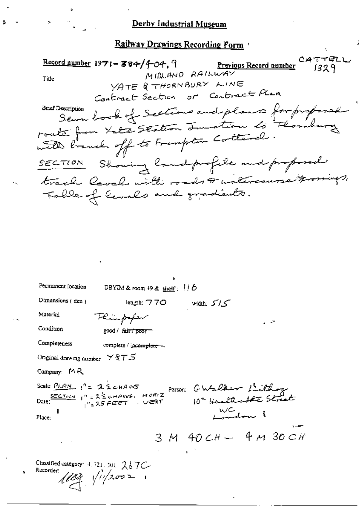CATTELL  $\frac{\text{Record number}}{1971 - 384}/404.9$ Previous Record number  $1329$ MIDLAND RAILWAY Title YATE & THORNBURY LINE Contract Section or Contract Plan semme book of Sections and plans for proposed **Brief Description** route from Late Station Involtion to Thombus Showing landprofile and professed  $SECTION$ track level with roads & watercourse tor Fable of Cenels and gradients.

| Permanent location                                          | DBYIM & room 49 & shelf: $116$                   |                   |  |
|-------------------------------------------------------------|--------------------------------------------------|-------------------|--|
| Dimensions (mm)                                             | length: $770$ width: $5/5$                       |                   |  |
| Material                                                    | Flingway                                         |                   |  |
| Condition                                                   | good / fair / poor -                             |                   |  |
| Completeness                                                | complete / incomplete -                          |                   |  |
| Onginal drawing number $\forall$ $\exists$ $\top$ $\exists$ |                                                  |                   |  |
| Company: $M \, R$                                           |                                                  |                   |  |
|                                                             | Scale: PLAN 1" = 22 CHAMS Person: GWalker Lithog |                   |  |
|                                                             |                                                  |                   |  |
| Place:                                                      |                                                  | WC don 1          |  |
|                                                             |                                                  | $3M40CH - 4M30CH$ |  |
|                                                             |                                                  |                   |  |
| Classified category: $4, 721, 501, 267C$<br>Recorder:       | $1103$ $11/2002$                                 |                   |  |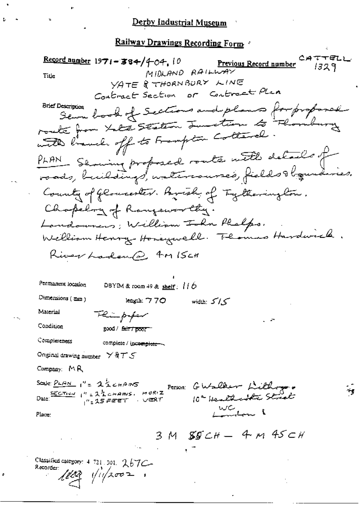CATTELL Record number 1971-384/4-04, 10 Previous Record number 1329 MIDLAND RAILWAY Title YATE & THORNBURY LINE Contract Section or Contract Plan Sema book of Sections and plans for proposed **Brief Description** roake from take sention Junction to Florid with linnels off to Frampton Collegel. PLAN Showing proposed route with details of roads, buildings, untercourses, fields Hogenderies. County of Glomeester. Brisk of Tytherington. Chapelon of Rangeworthy. Landowners; William Isla Phalps. William Henry Honeywell. The mas Hardwick. River Ladend for ISCH Permanent location DBYIM & room 49 & shelf:  $116$ Dimensions (mm) leagth: 770 width:  $5/5$ Material Flümpoper Condition good / fair / poor Completeness complete / incomplete ~~ Onginal drawing number  $\times$  Q  $\tau$  S Company:  $M$ R Scale:  $PLAN$   $I' = 25$  chans Person: GWalker Lithogen Date:  $\frac{SCCTred}{I}$   $I'' = 22$  change. HORIZ 10ª Healthcatte Street  $\vee$   $\mathbb{R}$   $\uparrow$  $1$   $\mu$  = 25 FEET WC<br>London 1 Place:  $3M$  SSCH - 4 m 45 CH Classified category: 4-721-301, 267C-Recorder: ung vivan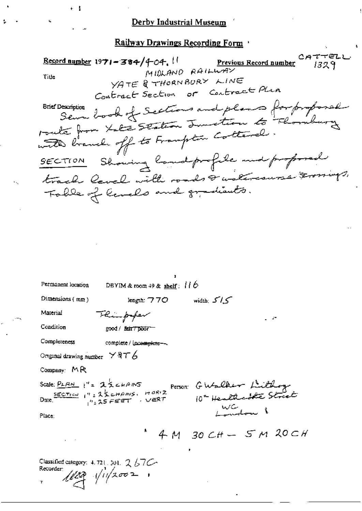9-04. !!<br>MIDLAND RAILWAY CATTELL Record number  $1971 - 384/404$ , !! 1329 Title YATE & THORNBURY LINE Contract Section or Contract Plan comption book of Sections and plans for proposal **Brief Description** route from take staten Junction to Floribury with branch off to Framption Cottanel. SECTION Showing landprofile and proposed track level with roads & watercourse Frommys, Fable of lands and gradients. Permanent location DBYIM & room  $49$  & shelf:  $116$ 

Dimensions (mm)

کے *اگ* : width length:  $770$ 

Material Condition

good / fair / poor

Thimp for

Completeness

complete / incomplete --

Original drawing number  $\times$  aT  $6$ 

Company:  $MR$ 

FERENCE 1"= 25 CHAMS PETSOR GWalker Littley Scale:  $PLAM$   $i'' = 25$   $CLAMS$ WC<br>London 1 Place:

 $4M$  30 CH - 5 M 20 CH

Classified category:  $4.721$ ,  $301$ ,  $2/57$ C-Recorder:  $1122$   $112002$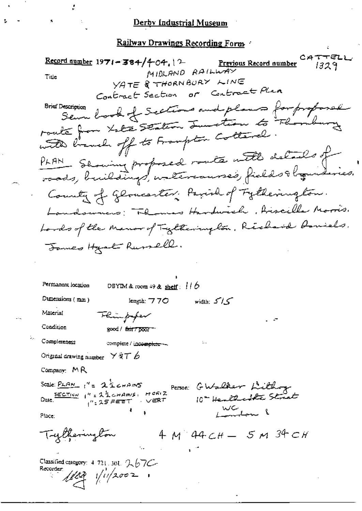<u>Railway Drawings Recording Form at</u>

CATTELL  $\frac{\text{Record number}}{1971 - 384}$  + 04, 12 Previous Record number 1329 MIDLAND RAILWAY Title YATE & THORNBURY LINE Contract Section or Contract Plan Sewe book of Sections and plans for proposed **Srief Description** route from Late Station Junction to "Floribury with branch off to Frampton Cottanal. PLAN Seming proposed route with details of County of Gloucenter: Pavid of Fytherington. Landswers: Flores Hardwich, Aiscille Marris. Lords of the Manor of Tytherington, Richard Amiels Formes Heat Rumell. Permanent location DBYIM & room  $+9$  & shelf:  $110$ Dumensions (mm) width:  $5/5$ length:  $770$ Material Flin poper Condition good / fair7poor-Completeness complete / incomplete -Original drawing number  $\times$   $\forall$   $\forall$   $\top$  6 Company:  $M$ R Person: GWalker Lithog Scale:  $PLAN_1' = 2 \leq CHPMS$  $SCCTion$   $1^n$  = 22 change  $H^{GR/2}$ 10° Henthe streets . ∨<del>E</del>RT `,″, 25 FEET WC 1 Place:  $4 M 44CH - 5 M 34 CH$ Trytherington Classified category:  $4.721$ , 301,  $2.67C$  $\frac{1}{2}$   $\frac{1}{2002}$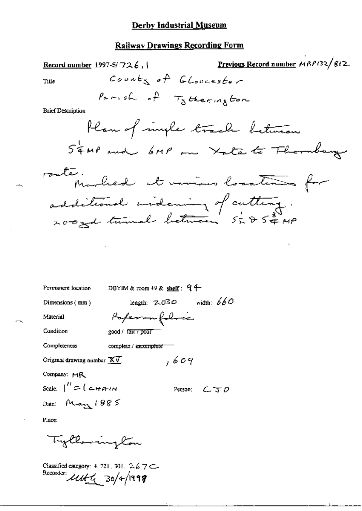Previous Record number MRP132/812 Record number 1997-5/726,  $\{$ County of GLoucester Title Parish of Tytherington **Brief Description** Plan of imple track between STAP and 6MP on Yate to Floraburg route. Marlied at various locations for additional underwing of cutting. 200 god turnel between 5285 # MP DBYIM & room 49 & shelf:  $9 +$ Permanent location length:  $2.030$  width:  $660$ Dimensions (mm) Poperon follow Material Condition good / fair / poor Completeness complete / incomplete  $,609$ Original drawing number  $\overline{\mathbf{X}\mathbf{V}}$ Company: MR Scale:  $\int''$   $\approx$  (  $\approx$   $H$  $\approx$   $H$ Person:  $\epsilon$   $\tau$   $\rho$ Date: May  $1885$ Place: Tylkemington

Classified category: 4, 721, 301, 2.67C-Recorder: 11H 4 30/4/1999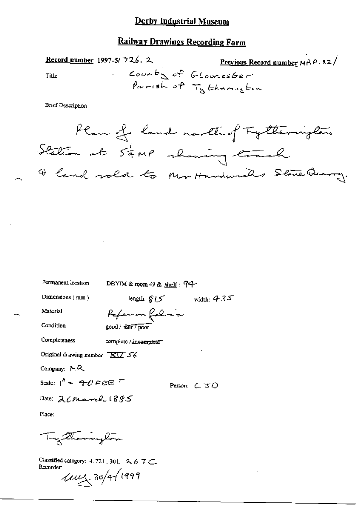# **Railway Drawings Recording Form**

Record number 1997-5/726, 2 County of Title

**Brief Description** 



Permanent location

DBYIM & room 49 & shelf: 94-

Dimensions (mm)

length:  $\mathcal{Q}_1$   $\leq$  width:  $435$ 

Material

Paperon folice

Condition

Completeness

complete / incomplete"

good / fair / poor

Original drawing number  $\overline{XU}$  56

Company:  $MR$ 

Scale:  $1^{n} = 40$  FEET

Person: C JO

Date: 26 March 1885

Place:

Trythoninghon

Classified category: 4, 721, 301, 2, 6, 7 C. Recorder:

 $1001804/1999$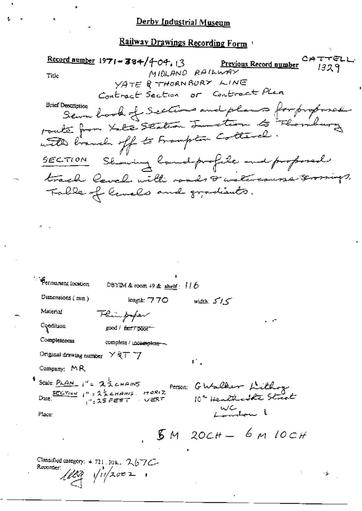Record number 1971-384/4-04, 13 Previous Record number  $1329$ MIDLAND RAILWAY Title YATE & THORNBURY LINE Contract Section or Contract Plan **Brief Description** comption book of Sections and plans for proposed route from take station Junction to Floribury with branch off to Frampton Cottarel. SECTION Showing Candprofile and proposal track level with roads & watercourse terosings. Table of levels and gradients. Permanent location DBYIM & room 49 & shelf:  $116$ Dimensions (mm) length: 770 width:  $5/5$ Material Flingforfer Condition good / fair7 poor Completeness complete / incomplete ~ Original drawing number  $\times$   $\sqrt{4}$   $\top$   $\top$ r. Company: MR Scale: PLAN 1"= 23 CHAINS Person: GWalker Lithog<br>10ª Healthcolte Street Date:  $\frac{SECTION}{1^{n} = 25 \text{ terms}}$ , MORIZ Place:  $5M$  20 $CH - 6M$  10CH Classified category: 4, 721, 30k, 267C-Recorder:  $1/10$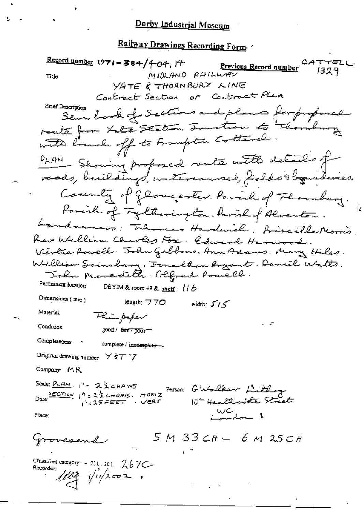Record number 1971 - 384/404, 14 CATTELL Previous Record number  $1329$ MIDLAND RAILWAY Tide YATE & THORNBURY LINE or Contract Plan Contract Section Brief Description Sem book of Sections and plans for proposal route from Leta Station Junction to Thom with branch off to Frampton Cottarel PLAN Showing proposed route with details of roads, buildings, untercauses, fields to equivais. County of Glovester. Parcil of Florabury. Porcile of Fyllanington. Parish of Alveston. Landswers: Themas Hardwich. Biscilla Morris Rev William Charles Fox. Coured Harwood. Virtue Rowell. John Gibbons, Ann Adams, Mary Hiles. William Sainsburg, Fonallan Begant. Daniel Watts. John Meredith. Alfred Powell. Permanent location DBYIM & room 49 & shelf:  $116$ Dimensions (mm) length; 770 width: 515 Material Flinpaper Condition good / fair7 poor-Completeness complete / incomplete ~ Original drawing number × § 7 \*7 Company MR SCRIE PLAN 1'= 22 CHANS Person GWalker Littlage Date:  $\frac{SCCTrow}{1}$   $1^h = 2\frac{1}{2}$  company. HORIZ 10ª Healthcatte Street  $1^9$ : 35 FEET ು ∨*ਵ*೩೯ we<br>London 1 Fluce:  $5M33cH - 6M35cH$ Grovesend Classified category + 721, 301. 267C- $1122$   $112002$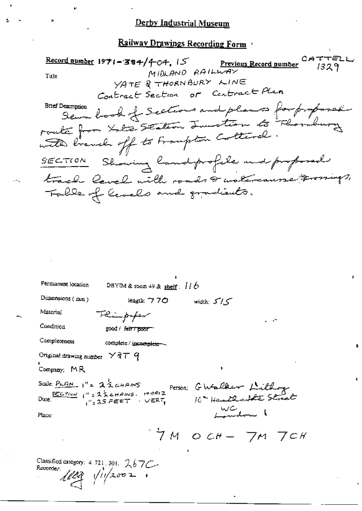ו רפת  $\frac{\text{Record number}}{1971 - 384}/404$ ,  $5$ Previous Record number  $1329$ MIDLAND RAILWAY Title YATE & THORNBURY LINE Contract Section or Contract Plan sermon book of Sections and plans for proposed Brief Description route from take seation Junction to Flombur with branch off to Frampton Cottarel. Showing landprofile and professed  $SECTON$ track level with roads & watercause prossings, Table of levels and gradiants.

| Permanent location                                                                                    | DBYIM & room 49 & shelf: $116$                                                                                                                                           |                       |  |
|-------------------------------------------------------------------------------------------------------|--------------------------------------------------------------------------------------------------------------------------------------------------------------------------|-----------------------|--|
| Dimensions $(mn)$                                                                                     | length: $770$                                                                                                                                                            | width: $5'/5$         |  |
| Malerial                                                                                              | Thimpfor                                                                                                                                                                 |                       |  |
| Condition                                                                                             | good / fair / poor                                                                                                                                                       |                       |  |
| Completeness                                                                                          | complete / incomplete ~~                                                                                                                                                 |                       |  |
| Original drawing number $\times$ $87$ $q$                                                             |                                                                                                                                                                          |                       |  |
| Company: $MR$                                                                                         |                                                                                                                                                                          | ,                     |  |
| Scale: $P_{LAM}$ $1'' = 236$ $GHz$ $MS$                                                               |                                                                                                                                                                          |                       |  |
|                                                                                                       | Scale: $\frac{PLAM}{PLAM}$ $1'' = 25$ change month Person: GWalker Littley<br>Date: $\frac{sec$ <sup>n</sup> = 25 change month 10 <sup>2</sup> Health established Street |                       |  |
| Place:                                                                                                |                                                                                                                                                                          |                       |  |
|                                                                                                       |                                                                                                                                                                          | $7M$ och- $7M$ $7$ ch |  |
| Classified category: $4.721$ , 301, $267C$ -<br>Recorder $\sqrt{\frac{1}{2}}$ $\sqrt{\frac{1}{2002}}$ |                                                                                                                                                                          |                       |  |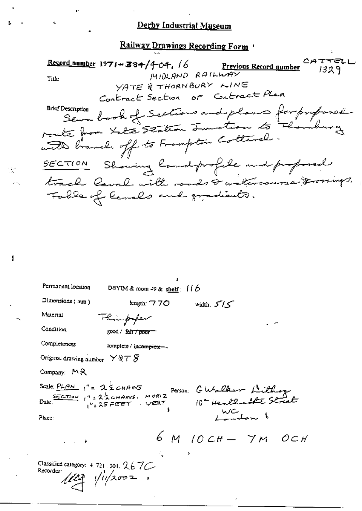$CAT$ TĘZ Record number  $1971 - 384/404$ , 16 Previous Record number 1329 MIDLAND RAILWAY Title YATE & THORNBURY LINE Contract Section or Contract Plan sammon book of Sections and plans for proposed **Brief Description** route from Late Station Junction to Florid with branch off to Frampton Cottanel Showing landprofile and proposed  $SECTON$ track level with roads & watercourse troorings, Folle of Cenals and gradients.

| Permanent location                                   | DBYIM & room 49 & shelf: $100$ |                                                                                                                                       |        |
|------------------------------------------------------|--------------------------------|---------------------------------------------------------------------------------------------------------------------------------------|--------|
| Dimensions (mm)                                      | length: $770$                  | width: $5/5$                                                                                                                          |        |
| Material                                             | Flinghpopen                    |                                                                                                                                       | . . 27 |
| Condition                                            | good / fair7poor-              |                                                                                                                                       |        |
| Completeness                                         | complete / incomplete-         |                                                                                                                                       |        |
| Original drawing number $\times$ a $\tau$ $S$        |                                |                                                                                                                                       |        |
| Company: $M \, R$                                    |                                |                                                                                                                                       |        |
| Scale: $PLAN$ $1'' = 222$ chans                      |                                | Scale: $\frac{PLAN}{P+AN}$ $i'' = 25cm \cdot 100R/2$<br>Dute: $\frac{SECTIOM}{i''}$ $i'' = 25cm \cdot 100R/2$ $10o$ Healthcast Street |        |
| Place:                                               |                                |                                                                                                                                       |        |
| $1 - 1 = 4$                                          |                                | $6M$ 10 CH $-$ 7 M OCH                                                                                                                |        |
| Classified category: 4, 721, 501, 267C-<br>Recorder: | $1103$ $11/2002$               | ,                                                                                                                                     |        |